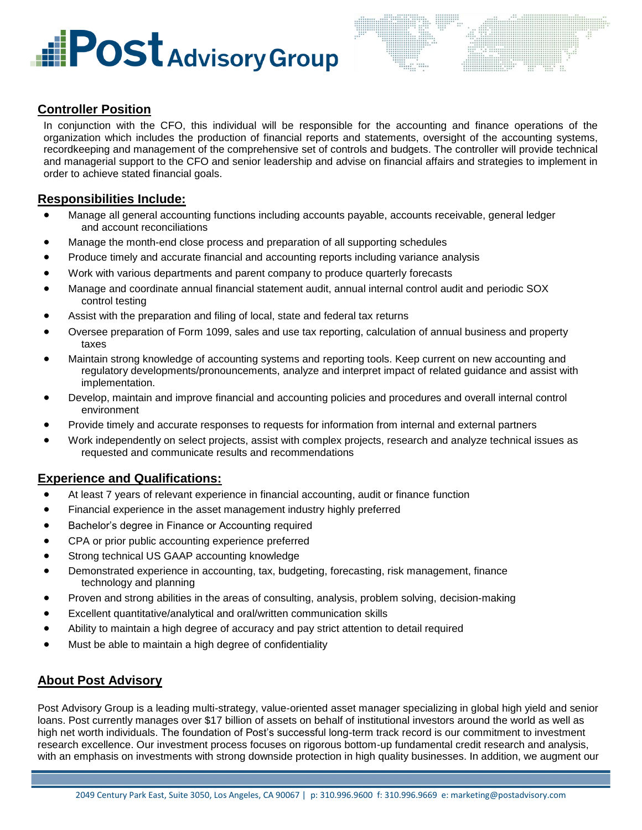# **Fost Advisory Group**



## **Controller Position**

In conjunction with the CFO, this individual will be responsible for the accounting and finance operations of the organization which includes the production of financial reports and statements, oversight of the accounting systems, recordkeeping and management of the comprehensive set of controls and budgets. The controller will provide technical and managerial support to the CFO and senior leadership and advise on financial affairs and strategies to implement in order to achieve stated financial goals.

## **Responsibilities Include:**

- Manage all general accounting functions including accounts payable, accounts receivable, general ledger and account reconciliations
- Manage the month-end close process and preparation of all supporting schedules
- Produce timely and accurate financial and accounting reports including variance analysis
- Work with various departments and parent company to produce quarterly forecasts
- Manage and coordinate annual financial statement audit, annual internal control audit and periodic SOX control testing
- Assist with the preparation and filing of local, state and federal tax returns
- Oversee preparation of Form 1099, sales and use tax reporting, calculation of annual business and property taxes
- Maintain strong knowledge of accounting systems and reporting tools. Keep current on new accounting and regulatory developments/pronouncements, analyze and interpret impact of related guidance and assist with implementation.
- Develop, maintain and improve financial and accounting policies and procedures and overall internal control environment
- Provide timely and accurate responses to requests for information from internal and external partners
- Work independently on select projects, assist with complex projects, research and analyze technical issues as requested and communicate results and recommendations

#### **Experience and Qualifications:**

- At least 7 years of relevant experience in financial accounting, audit or finance function
- Financial experience in the asset management industry highly preferred
- Bachelor's degree in Finance or Accounting required
- CPA or prior public accounting experience preferred
- Strong technical US GAAP accounting knowledge
- Demonstrated experience in accounting, tax, budgeting, forecasting, risk management, finance technology and planning
- Proven and strong abilities in the areas of consulting, analysis, problem solving, decision-making
- Excellent quantitative/analytical and oral/written communication skills
- Ability to maintain a high degree of accuracy and pay strict attention to detail required
- Must be able to maintain a high degree of confidentiality

## **About Post Advisory**

Post Advisory Group is a leading multi-strategy, value-oriented asset manager specializing in global high yield and senior loans. Post currently manages over \$17 billion of assets on behalf of institutional investors around the world as well as high net worth individuals. The foundation of Post's successful long-term track record is our commitment to investment research excellence. Our investment process focuses on rigorous bottom-up fundamental credit research and analysis, with an emphasis on investments with strong downside protection in high quality businesses. In addition, we augment our